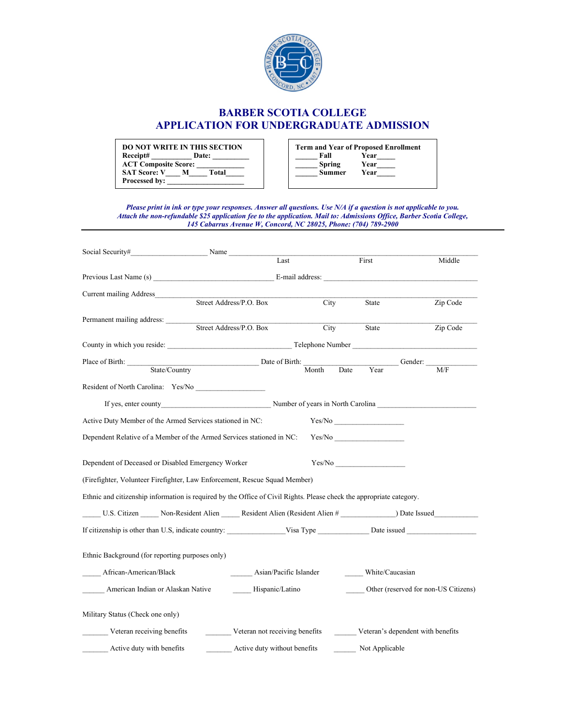

## **BARBER SCOTIA COLLEGE APPLICATION FOR UNDERGRADUATE ADMISSION**

| DO NOT WRITE IN THIS SECTION<br>Receipt#           |   | Date: |
|----------------------------------------------------|---|-------|
| <b>ACT Composite Score:</b><br><b>SAT Score: V</b> | м | Total |
| Processed by:                                      |   |       |

| <b>Term and Year of Proposed Enrollment</b> |      |  |  |  |
|---------------------------------------------|------|--|--|--|
| Fall                                        | Year |  |  |  |
| <b>Spring</b>                               | Year |  |  |  |
| <b>Summer</b>                               | Year |  |  |  |
|                                             |      |  |  |  |

*Please print in ink or type your responses. Answer all questions. Use N/A if a question is not applicable to you. Attach the non-refundable \$25 application fee to the application. Mail to: Admissions Office, Barber Scotia College, 145 Cabarrus Avenue W, Concord, NC 28025, Phone: (704) 789-2900*

| Social Security#                                                                                                     | Name                                                                         |                                |       |      |                 |                                      |
|----------------------------------------------------------------------------------------------------------------------|------------------------------------------------------------------------------|--------------------------------|-------|------|-----------------|--------------------------------------|
|                                                                                                                      |                                                                              | Last                           |       |      | First           | Middle                               |
|                                                                                                                      |                                                                              |                                |       |      | E-mail address: |                                      |
| Current mailing Address_                                                                                             |                                                                              |                                |       |      |                 |                                      |
|                                                                                                                      | Street Address/P.O. Box                                                      |                                | City  |      | State           | Zip Code                             |
| Permanent mailing address:                                                                                           |                                                                              |                                |       |      |                 |                                      |
|                                                                                                                      |                                                                              | Street Address/P.O. Box        | City  |      | State           | Zip Code                             |
|                                                                                                                      |                                                                              |                                |       |      |                 |                                      |
| Place of Birth:                                                                                                      |                                                                              | Date of Birth:                 |       |      |                 | Gender:                              |
|                                                                                                                      | State/Country                                                                |                                | Month | Date | Year            | M/F                                  |
| Resident of North Carolina: Yes/No                                                                                   |                                                                              |                                |       |      |                 |                                      |
|                                                                                                                      | If yes, enter county Number of years in North Carolina                       |                                |       |      |                 |                                      |
| Active Duty Member of the Armed Services stationed in NC:                                                            |                                                                              |                                |       |      | Yes/No          |                                      |
| Dependent Relative of a Member of the Armed Services stationed in NC:                                                |                                                                              |                                |       |      | Yes/No          |                                      |
| Dependent of Deceased or Disabled Emergency Worker                                                                   |                                                                              |                                |       |      | Yes/No          |                                      |
| (Firefighter, Volunteer Firefighter, Law Enforcement, Rescue Squad Member)                                           |                                                                              |                                |       |      |                 |                                      |
| Ethnic and citizenship information is required by the Office of Civil Rights. Please check the appropriate category. |                                                                              |                                |       |      |                 |                                      |
|                                                                                                                      | U.S. Citizen Mon-Resident Alien Resident Alien (Resident Alien # Date Issued |                                |       |      |                 |                                      |
| If citizenship is other than U.S, indicate country: Visa Type Disc issued Date issued                                |                                                                              |                                |       |      |                 |                                      |
| Ethnic Background (for reporting purposes only)                                                                      |                                                                              |                                |       |      |                 |                                      |
| African-American/Black                                                                                               |                                                                              | Asian/Pacific Islander         |       |      | White/Caucasian |                                      |
| American Indian or Alaskan Native                                                                                    |                                                                              | Hispanic/Latino                |       |      |                 | Other (reserved for non-US Citizens) |
| Military Status (Check one only)                                                                                     |                                                                              |                                |       |      |                 |                                      |
| Veteran receiving benefits                                                                                           |                                                                              | Veteran not receiving benefits |       |      |                 | Veteran's dependent with benefits    |
| Active duty with benefits                                                                                            |                                                                              | Active duty without benefits   |       |      | Not Applicable  |                                      |